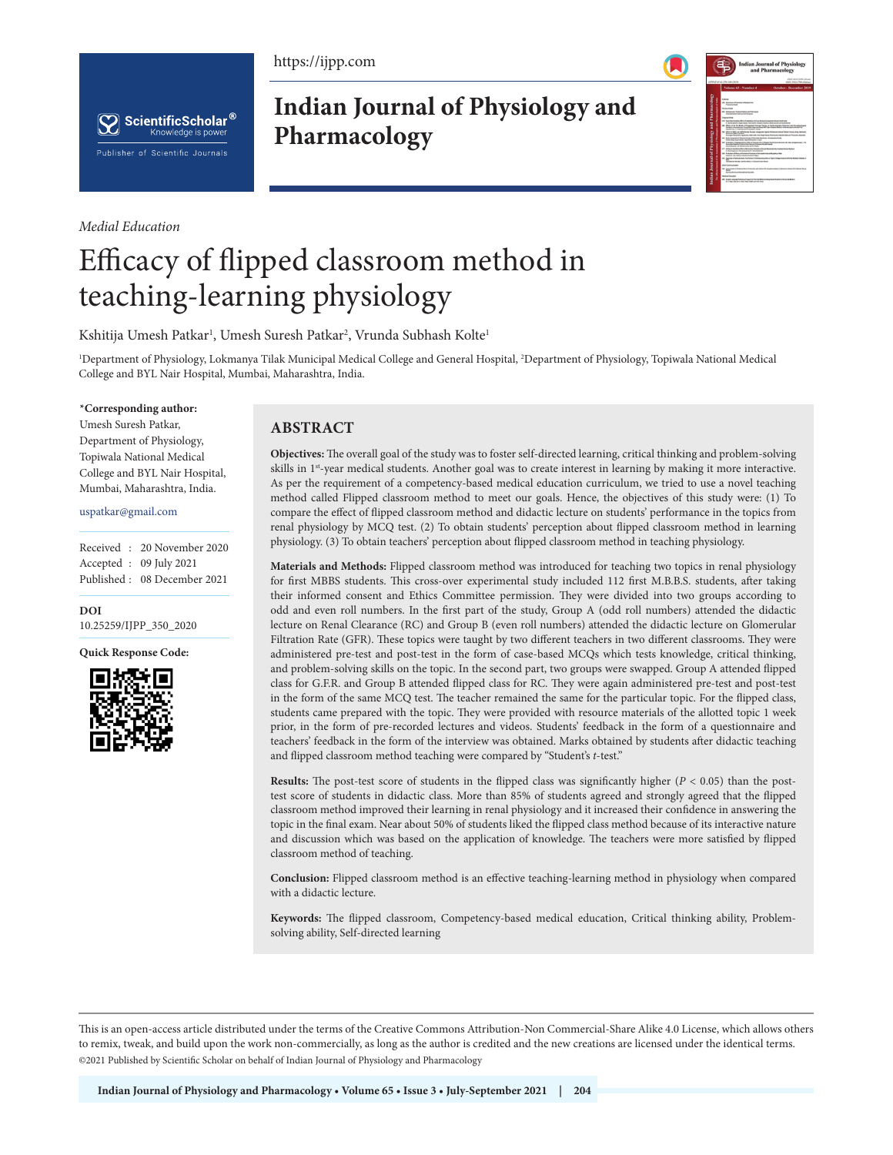https://ijpp.com



**burnal of Physic** 



*Medial Education*

**Indian Journal of Physiology and Pharmacology**

# Efficacy of flipped classroom method in teaching-learning physiology

Kshitija Umesh Patkar<sup>ı</sup>, Umesh Suresh Patkar<sup>2</sup>, Vrunda Subhash Kolte<sup>1</sup>

1 Department of Physiology, Lokmanya Tilak Municipal Medical College and General Hospital, 2 Department of Physiology, Topiwala National Medical College and BYL Nair Hospital, Mumbai, Maharashtra, India.

#### **\*Corresponding author:**

Umesh Suresh Patkar, Department of Physiology, Topiwala National Medical College and BYL Nair Hospital, Mumbai, Maharashtra, India.

#### uspatkar@gmail.com

Received : 20 November 2020 Accepted : 09 July 2021 Published : 08 December 2021

**DOI** [10.25259/IJPP\\_350\\_2020](https://dx.doi.org/10.25259/IJPP_350_2020)

**Quick Response Code:**



# **ABSTRACT**

**Objectives:** The overall goal of the study was to foster self-directed learning, critical thinking and problem-solving skills in 1<sup>st</sup>-year medical students. Another goal was to create interest in learning by making it more interactive. As per the requirement of a competency-based medical education curriculum, we tried to use a novel teaching method called Flipped classroom method to meet our goals. Hence, the objectives of this study were: (1) To compare the effect of flipped classroom method and didactic lecture on students' performance in the topics from renal physiology by MCQ test. (2) To obtain students' perception about flipped classroom method in learning physiology. (3) To obtain teachers' perception about flipped classroom method in teaching physiology.

**Materials and Methods:** Flipped classroom method was introduced for teaching two topics in renal physiology for first MBBS students. This cross-over experimental study included 112 first M.B.B.S. students, after taking their informed consent and Ethics Committee permission. They were divided into two groups according to odd and even roll numbers. In the first part of the study, Group A (odd roll numbers) attended the didactic lecture on Renal Clearance (RC) and Group B (even roll numbers) attended the didactic lecture on Glomerular Filtration Rate (GFR). These topics were taught by two different teachers in two different classrooms. They were administered pre-test and post-test in the form of case-based MCQs which tests knowledge, critical thinking, and problem-solving skills on the topic. In the second part, two groups were swapped. Group A attended flipped class for G.F.R. and Group B attended flipped class for RC. They were again administered pre-test and post-test in the form of the same MCQ test. The teacher remained the same for the particular topic. For the flipped class, students came prepared with the topic. They were provided with resource materials of the allotted topic 1 week prior, in the form of pre-recorded lectures and videos. Students' feedback in the form of a questionnaire and teachers' feedback in the form of the interview was obtained. Marks obtained by students after didactic teaching and flipped classroom method teaching were compared by "Student's *t*-test."

**Results:** The post-test score of students in the flipped class was significantly higher (*P* < 0.05) than the posttest score of students in didactic class. More than 85% of students agreed and strongly agreed that the flipped classroom method improved their learning in renal physiology and it increased their confidence in answering the topic in the final exam. Near about 50% of students liked the flipped class method because of its interactive nature and discussion which was based on the application of knowledge. The teachers were more satisfied by flipped classroom method of teaching.

**Conclusion:** Flipped classroom method is an effective teaching-learning method in physiology when compared with a didactic lecture.

**Keywords:** The flipped classroom, Competency-based medical education, Critical thinking ability, Problemsolving ability, Self-directed learning

This is an open-access article distributed under the terms of the Creative Commons Attribution-Non Commercial-Share Alike 4.0 License, which allows others to remix, tweak, and build upon the work non-commercially, as long as the author is credited and the new creations are licensed under the identical terms. ©2021 Published by Scientific Scholar on behalf of Indian Journal of Physiology and Pharmacology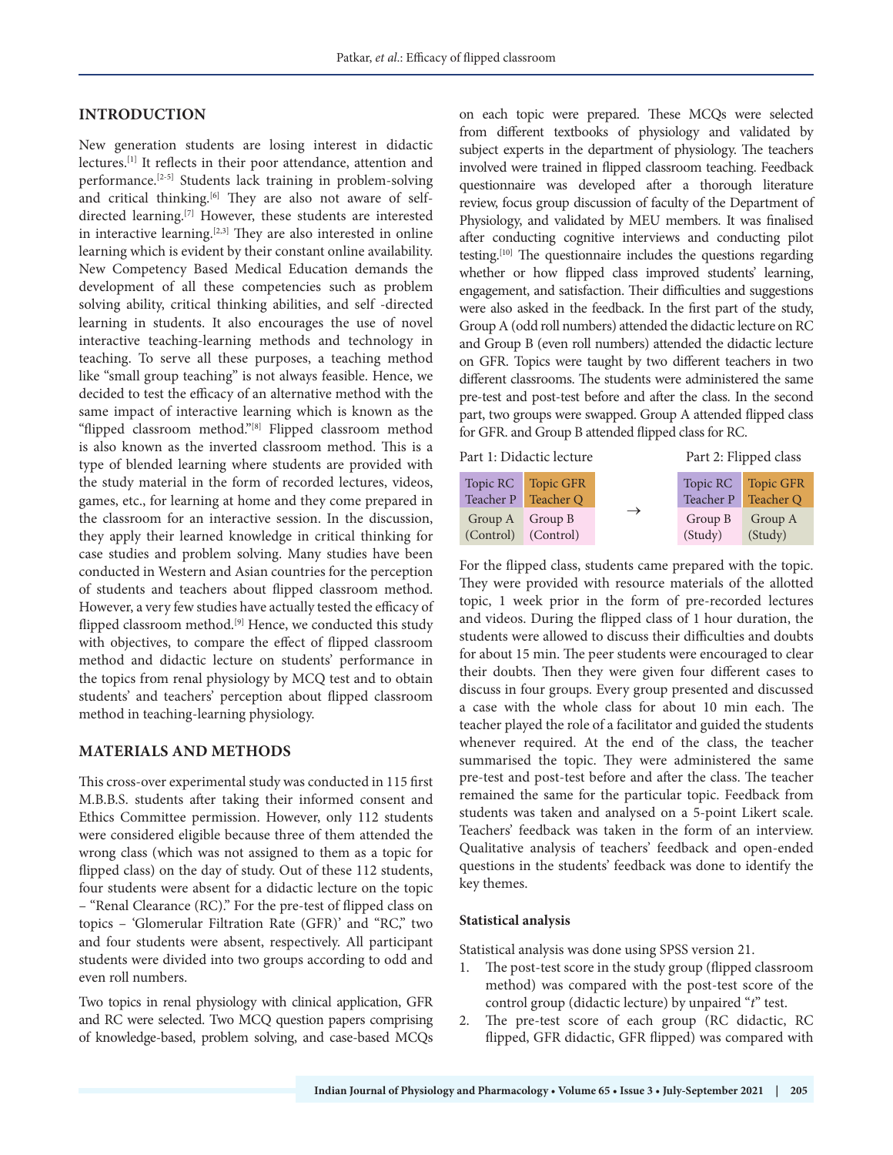## **INTRODUCTION**

New generation students are losing interest in didactic lectures.[1] It reflects in their poor attendance, attention and performance.[2-5] Students lack training in problem-solving and critical thinking.<sup>[6]</sup> They are also not aware of selfdirected learning.<sup>[7]</sup> However, these students are interested in interactive learning.[2,3] They are also interested in online learning which is evident by their constant online availability. New Competency Based Medical Education demands the development of all these competencies such as problem solving ability, critical thinking abilities, and self -directed learning in students. It also encourages the use of novel interactive teaching-learning methods and technology in teaching. To serve all these purposes, a teaching method like "small group teaching" is not always feasible. Hence, we decided to test the efficacy of an alternative method with the same impact of interactive learning which is known as the "flipped classroom method."[8] Flipped classroom method is also known as the inverted classroom method. This is a type of blended learning where students are provided with the study material in the form of recorded lectures, videos, games, etc., for learning at home and they come prepared in the classroom for an interactive session. In the discussion, they apply their learned knowledge in critical thinking for case studies and problem solving. Many studies have been conducted in Western and Asian countries for the perception of students and teachers about flipped classroom method. However, a very few studies have actually tested the efficacy of flipped classroom method.<sup>[9]</sup> Hence, we conducted this study with objectives, to compare the effect of flipped classroom method and didactic lecture on students' performance in the topics from renal physiology by MCQ test and to obtain students' and teachers' perception about flipped classroom method in teaching-learning physiology.

#### **MATERIALS AND METHODS**

This cross-over experimental study was conducted in 115 first M.B.B.S. students after taking their informed consent and Ethics Committee permission. However, only 112 students were considered eligible because three of them attended the wrong class (which was not assigned to them as a topic for flipped class) on the day of study. Out of these 112 students, four students were absent for a didactic lecture on the topic – "Renal Clearance (RC)." For the pre-test of flipped class on topics – 'Glomerular Filtration Rate (GFR)' and "RC," two and four students were absent, respectively. All participant students were divided into two groups according to odd and even roll numbers.

Two topics in renal physiology with clinical application, GFR and RC were selected. Two MCQ question papers comprising of knowledge-based, problem solving, and case-based MCQs on each topic were prepared. These MCQs were selected from different textbooks of physiology and validated by subject experts in the department of physiology. The teachers involved were trained in flipped classroom teaching. Feedback questionnaire was developed after a thorough literature review, focus group discussion of faculty of the Department of Physiology, and validated by MEU members. It was finalised after conducting cognitive interviews and conducting pilot testing.[10] The questionnaire includes the questions regarding whether or how flipped class improved students' learning, engagement, and satisfaction. Their difficulties and suggestions were also asked in the feedback. In the first part of the study, Group A (odd roll numbers) attended the didactic lecture on RC and Group B (even roll numbers) attended the didactic lecture on GFR. Topics were taught by two different teachers in two different classrooms. The students were administered the same pre-test and post-test before and after the class. In the second part, two groups were swapped. Group A attended flipped class for GFR. and Group B attended flipped class for RC.

| Part 1: Didactic lecture       |                        |               | Part 2: Flipped class |                        |  |
|--------------------------------|------------------------|---------------|-----------------------|------------------------|--|
| Topic RC<br>Teacher P          | Topic GFR<br>Teacher O |               | Topic RC<br>Teacher P | Topic GFR<br>Teacher O |  |
| Group A<br>(Control) (Control) | Group B                | $\rightarrow$ | Group B<br>(Study)    | Group A<br>(Study)     |  |

For the flipped class, students came prepared with the topic. They were provided with resource materials of the allotted topic, 1 week prior in the form of pre-recorded lectures and videos. During the flipped class of 1 hour duration, the students were allowed to discuss their difficulties and doubts for about 15 min. The peer students were encouraged to clear their doubts. Then they were given four different cases to discuss in four groups. Every group presented and discussed a case with the whole class for about 10 min each. The teacher played the role of a facilitator and guided the students whenever required. At the end of the class, the teacher summarised the topic. They were administered the same pre-test and post-test before and after the class. The teacher remained the same for the particular topic. Feedback from students was taken and analysed on a 5-point Likert scale. Teachers' feedback was taken in the form of an interview. Qualitative analysis of teachers' feedback and open-ended questions in the students' feedback was done to identify the key themes.

#### **Statistical analysis**

Statistical analysis was done using SPSS version 21.

- 1. The post-test score in the study group (flipped classroom method) was compared with the post-test score of the control group (didactic lecture) by unpaired "*t*" test.
- 2. The pre-test score of each group (RC didactic, RC flipped, GFR didactic, GFR flipped) was compared with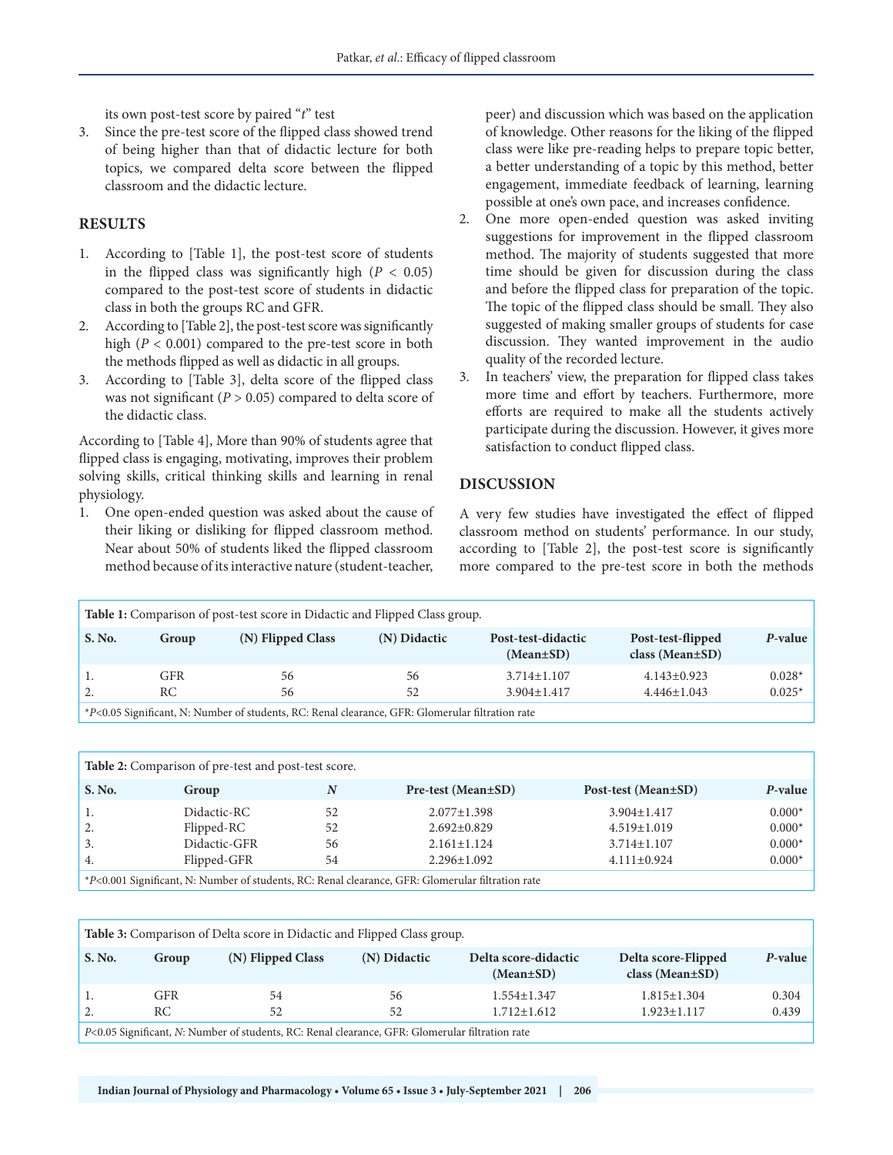its own post-test score by paired "*t*" test

3. Since the pre-test score of the flipped class showed trend of being higher than that of didactic lecture for both topics, we compared delta score between the flipped classroom and the didactic lecture.

## **RESULTS**

- 1. According to [Table 1], the post-test score of students in the flipped class was significantly high  $(P < 0.05)$ compared to the post-test score of students in didactic class in both the groups RC and GFR.
- 2. According to [Table 2], the post-test score was significantly high (*P* < 0.001) compared to the pre-test score in both the methods flipped as well as didactic in all groups.
- 3. According to [Table 3], delta score of the flipped class was not significant (*P* > 0.05) compared to delta score of the didactic class.

According to [Table 4], More than 90% of students agree that flipped class is engaging, motivating, improves their problem solving skills, critical thinking skills and learning in renal physiology.

1. One open-ended question was asked about the cause of their liking or disliking for flipped classroom method. Near about 50% of students liked the flipped classroom method because of its interactive nature (student-teacher,

peer) and discussion which was based on the application of knowledge. Other reasons for the liking of the flipped class were like pre-reading helps to prepare topic better, a better understanding of a topic by this method, better engagement, immediate feedback of learning, learning possible at one's own pace, and increases confidence.

- 2. One more open-ended question was asked inviting suggestions for improvement in the flipped classroom method. The majority of students suggested that more time should be given for discussion during the class and before the flipped class for preparation of the topic. The topic of the flipped class should be small. They also suggested of making smaller groups of students for case discussion. They wanted improvement in the audio quality of the recorded lecture.
- 3. In teachers' view, the preparation for flipped class takes more time and effort by teachers. Furthermore, more efforts are required to make all the students actively participate during the discussion. However, it gives more satisfaction to conduct flipped class.

## **DISCUSSION**

A very few studies have investigated the effect of flipped classroom method on students' performance. In our study, according to [Table 2], the post-test score is significantly more compared to the pre-test score in both the methods

| <b>Table 1:</b> Comparison of post-test score in Didactic and Flipped Class group.               |            |                   |              |                                       |                                            |          |  |
|--------------------------------------------------------------------------------------------------|------------|-------------------|--------------|---------------------------------------|--------------------------------------------|----------|--|
| S. No.                                                                                           | Group      | (N) Flipped Class | (N) Didactic | Post-test-didactic<br>$(Mean \pm SD)$ | Post-test-flipped<br>$class (Mean \pm SD)$ | P-value  |  |
|                                                                                                  | <b>GFR</b> | 56                | 56           | $3.714 \pm 1.107$                     | $4.143 \pm 0.923$                          | $0.028*$ |  |
|                                                                                                  | RC         | 56                | 52           | $3.904 \pm 1.417$                     | $4.446 \pm 1.043$                          | $0.025*$ |  |
| *P<0.05 Significant, N: Number of students, RC: Renal clearance, GFR: Glomerular filtration rate |            |                   |              |                                       |                                            |          |  |

| Table 2: Comparison of pre-test and post-test score.                                              |              |    |                    |                     |          |  |  |
|---------------------------------------------------------------------------------------------------|--------------|----|--------------------|---------------------|----------|--|--|
| S. No.                                                                                            | Group        | N  | Pre-test (Mean±SD) | Post-test (Mean±SD) | P-value  |  |  |
| 1.                                                                                                | Didactic-RC  | 52 | $2.077 \pm 1.398$  | $3.904 \pm 1.417$   | $0.000*$ |  |  |
| 2.                                                                                                | Flipped-RC   | 52 | $2.692 \pm 0.829$  | $4.519 \pm 1.019$   | $0.000*$ |  |  |
| 3.                                                                                                | Didactic-GFR | 56 | $2.161 \pm 1.124$  | $3.714 \pm 1.107$   | $0.000*$ |  |  |
| 4.                                                                                                | Flipped-GFR  | 54 | $2.296 \pm 1.092$  | $4.111 \pm 0.924$   | $0.000*$ |  |  |
| *P<0.001 Significant, N: Number of students, RC: Renal clearance, GFR: Glomerular filtration rate |              |    |                    |                     |          |  |  |

| Table 3: Comparison of Delta score in Didactic and Flipped Class group.                         |            |                   |                |                                         |                                              |         |  |  |
|-------------------------------------------------------------------------------------------------|------------|-------------------|----------------|-----------------------------------------|----------------------------------------------|---------|--|--|
| S. No.                                                                                          | Group      | (N) Flipped Class | $(N)$ Didactic | Delta score-didactic<br>$(Mean \pm SD)$ | Delta score-Flipped<br>$class (Mean \pm SD)$ | P-value |  |  |
|                                                                                                 | <b>GFR</b> | 54                | 56             | $1.554 \pm 1.347$                       | $1.815 \pm 1.304$                            | 0.304   |  |  |
| 2.                                                                                              | RC         | 52                | 52             | $1.712 \pm 1.612$                       | 1.923±1.117                                  | 0.439   |  |  |
| P<0.05 Significant, N: Number of students, RC: Renal clearance, GFR: Glomerular filtration rate |            |                   |                |                                         |                                              |         |  |  |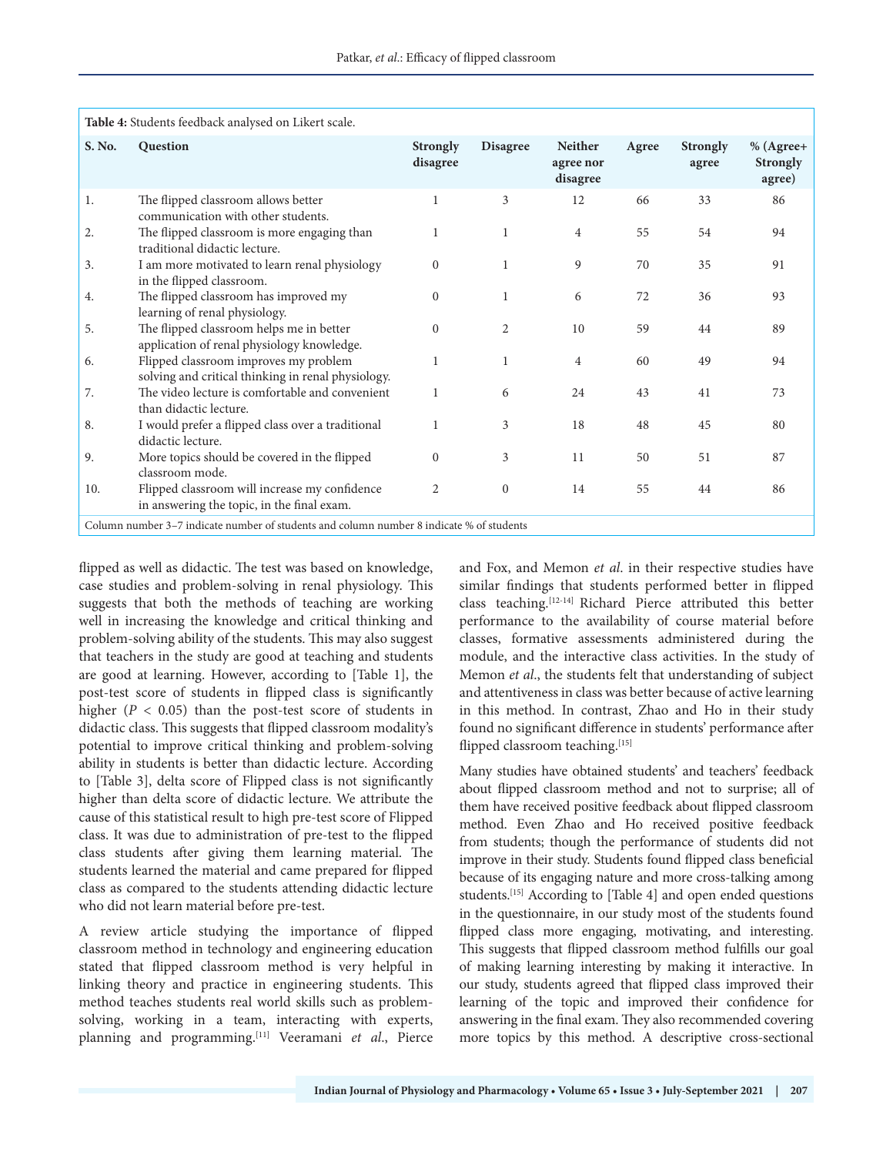| Table 4: Students feedback analysed on Likert scale. |                                                                                             |                             |                 |                                         |       |                          |                                          |  |
|------------------------------------------------------|---------------------------------------------------------------------------------------------|-----------------------------|-----------------|-----------------------------------------|-------|--------------------------|------------------------------------------|--|
| S. No.                                               | Question                                                                                    | <b>Strongly</b><br>disagree | <b>Disagree</b> | <b>Neither</b><br>agree nor<br>disagree | Agree | <b>Strongly</b><br>agree | $%$ (Agree+<br><b>Strongly</b><br>agree) |  |
| 1.                                                   | The flipped classroom allows better<br>communication with other students.                   | 1                           | 3               | 12                                      | 66    | 33                       | 86                                       |  |
| 2.                                                   | The flipped classroom is more engaging than<br>traditional didactic lecture.                | 1                           | 1               | 4                                       | 55    | 54                       | 94                                       |  |
| 3.                                                   | I am more motivated to learn renal physiology<br>in the flipped classroom.                  | $\mathbf{0}$                | 1               | 9                                       | 70    | 35                       | 91                                       |  |
| 4.                                                   | The flipped classroom has improved my<br>learning of renal physiology.                      | $\Omega$                    | 1               | 6                                       | 72    | 36                       | 93                                       |  |
| 5.                                                   | The flipped classroom helps me in better<br>application of renal physiology knowledge.      | $\Omega$                    | $\overline{2}$  | 10                                      | 59    | 44                       | 89                                       |  |
| 6.                                                   | Flipped classroom improves my problem<br>solving and critical thinking in renal physiology. | 1                           | 1               | 4                                       | 60    | 49                       | 94                                       |  |
| 7.                                                   | The video lecture is comfortable and convenient<br>than didactic lecture.                   | 1                           | 6               | 24                                      | 43    | 41                       | 73                                       |  |
| 8.                                                   | I would prefer a flipped class over a traditional<br>didactic lecture.                      | $\mathbf{1}$                | 3               | 18                                      | 48    | 45                       | 80                                       |  |
| 9.                                                   | More topics should be covered in the flipped<br>classroom mode.                             | $\mathbf{0}$                | 3               | 11                                      | 50    | 51                       | 87                                       |  |
| 10.                                                  | Flipped classroom will increase my confidence<br>in answering the topic, in the final exam. | $\overline{2}$              | $\mathbf{0}$    | 14                                      | 55    | 44                       | 86                                       |  |
|                                                      | Column number 3–7 indicate number of students and column number 8 indicate % of students    |                             |                 |                                         |       |                          |                                          |  |

flipped as well as didactic. The test was based on knowledge, case studies and problem-solving in renal physiology. This suggests that both the methods of teaching are working well in increasing the knowledge and critical thinking and problem-solving ability of the students. This may also suggest that teachers in the study are good at teaching and students are good at learning. However, according to [Table 1], the post-test score of students in flipped class is significantly higher  $(P < 0.05)$  than the post-test score of students in didactic class. This suggests that flipped classroom modality's potential to improve critical thinking and problem-solving ability in students is better than didactic lecture. According to [Table 3], delta score of Flipped class is not significantly higher than delta score of didactic lecture. We attribute the cause of this statistical result to high pre-test score of Flipped class. It was due to administration of pre-test to the flipped class students after giving them learning material. The students learned the material and came prepared for flipped class as compared to the students attending didactic lecture who did not learn material before pre-test.

A review article studying the importance of flipped classroom method in technology and engineering education stated that flipped classroom method is very helpful in linking theory and practice in engineering students. This method teaches students real world skills such as problemsolving, working in a team, interacting with experts, planning and programming.[11] Veeramani *et al*., Pierce and Fox, and Memon *et al*. in their respective studies have similar findings that students performed better in flipped class teaching.[12-14] Richard Pierce attributed this better performance to the availability of course material before classes, formative assessments administered during the module, and the interactive class activities. In the study of Memon *et al*., the students felt that understanding of subject and attentiveness in class was better because of active learning in this method. In contrast, Zhao and Ho in their study found no significant difference in students' performance after flipped classroom teaching.[15]

Many studies have obtained students' and teachers' feedback about flipped classroom method and not to surprise; all of them have received positive feedback about flipped classroom method. Even Zhao and Ho received positive feedback from students; though the performance of students did not improve in their study. Students found flipped class beneficial because of its engaging nature and more cross-talking among students.<sup>[15]</sup> According to [Table 4] and open ended questions in the questionnaire, in our study most of the students found flipped class more engaging, motivating, and interesting. This suggests that flipped classroom method fulfills our goal of making learning interesting by making it interactive. In our study, students agreed that flipped class improved their learning of the topic and improved their confidence for answering in the final exam. They also recommended covering more topics by this method. A descriptive cross-sectional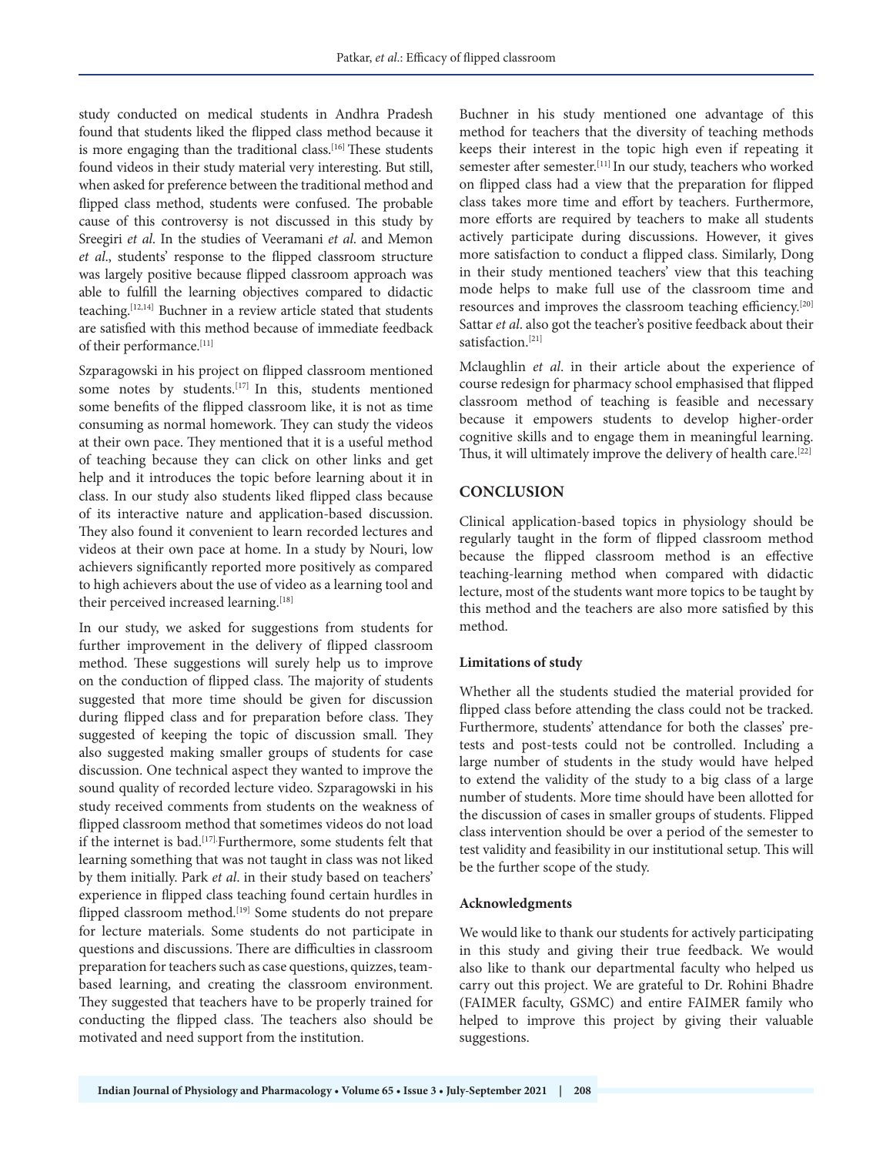study conducted on medical students in Andhra Pradesh found that students liked the flipped class method because it is more engaging than the traditional class.<sup>[16]</sup> These students found videos in their study material very interesting. But still, when asked for preference between the traditional method and flipped class method, students were confused. The probable cause of this controversy is not discussed in this study by Sreegiri *et al*. In the studies of Veeramani *et al*. and Memon *et al*., students' response to the flipped classroom structure was largely positive because flipped classroom approach was able to fulfill the learning objectives compared to didactic teaching.[12,14] Buchner in a review article stated that students are satisfied with this method because of immediate feedback of their performance.<sup>[11]</sup>

Szparagowski in his project on flipped classroom mentioned some notes by students.<sup>[17]</sup> In this, students mentioned some benefits of the flipped classroom like, it is not as time consuming as normal homework. They can study the videos at their own pace. They mentioned that it is a useful method of teaching because they can click on other links and get help and it introduces the topic before learning about it in class. In our study also students liked flipped class because of its interactive nature and application-based discussion. They also found it convenient to learn recorded lectures and videos at their own pace at home. In a study by Nouri, low achievers significantly reported more positively as compared to high achievers about the use of video as a learning tool and their perceived increased learning.<sup>[18]</sup>

In our study, we asked for suggestions from students for further improvement in the delivery of flipped classroom method. These suggestions will surely help us to improve on the conduction of flipped class. The majority of students suggested that more time should be given for discussion during flipped class and for preparation before class. They suggested of keeping the topic of discussion small. They also suggested making smaller groups of students for case discussion. One technical aspect they wanted to improve the sound quality of recorded lecture video. Szparagowski in his study received comments from students on the weakness of flipped classroom method that sometimes videos do not load if the internet is bad.[17].Furthermore, some students felt that learning something that was not taught in class was not liked by them initially. Park *et al*. in their study based on teachers' experience in flipped class teaching found certain hurdles in flipped classroom method.<sup>[19]</sup> Some students do not prepare for lecture materials. Some students do not participate in questions and discussions. There are difficulties in classroom preparation for teachers such as case questions, quizzes, teambased learning, and creating the classroom environment. They suggested that teachers have to be properly trained for conducting the flipped class. The teachers also should be motivated and need support from the institution.

Buchner in his study mentioned one advantage of this method for teachers that the diversity of teaching methods keeps their interest in the topic high even if repeating it semester after semester.[11] In our study, teachers who worked on flipped class had a view that the preparation for flipped class takes more time and effort by teachers. Furthermore, more efforts are required by teachers to make all students actively participate during discussions. However, it gives more satisfaction to conduct a flipped class. Similarly, Dong in their study mentioned teachers' view that this teaching mode helps to make full use of the classroom time and resources and improves the classroom teaching efficiency.[20] Sattar *et al*. also got the teacher's positive feedback about their satisfaction.<sup>[21]</sup>

Mclaughlin *et al*. in their article about the experience of course redesign for pharmacy school emphasised that flipped classroom method of teaching is feasible and necessary because it empowers students to develop higher-order cognitive skills and to engage them in meaningful learning. Thus, it will ultimately improve the delivery of health care.<sup>[22]</sup>

# **CONCLUSION**

Clinical application-based topics in physiology should be regularly taught in the form of flipped classroom method because the flipped classroom method is an effective teaching-learning method when compared with didactic lecture, most of the students want more topics to be taught by this method and the teachers are also more satisfied by this method.

# **Limitations of study**

Whether all the students studied the material provided for flipped class before attending the class could not be tracked. Furthermore, students' attendance for both the classes' pretests and post-tests could not be controlled. Including a large number of students in the study would have helped to extend the validity of the study to a big class of a large number of students. More time should have been allotted for the discussion of cases in smaller groups of students. Flipped class intervention should be over a period of the semester to test validity and feasibility in our institutional setup. This will be the further scope of the study.

## **Acknowledgments**

We would like to thank our students for actively participating in this study and giving their true feedback. We would also like to thank our departmental faculty who helped us carry out this project. We are grateful to Dr. Rohini Bhadre (FAIMER faculty, GSMC) and entire FAIMER family who helped to improve this project by giving their valuable suggestions.